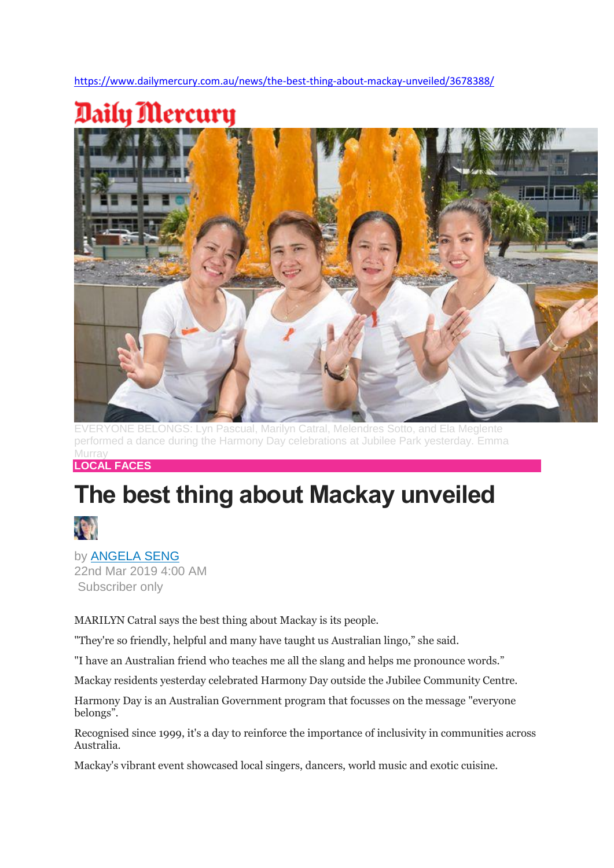<https://www.dailymercury.com.au/news/the-best-thing-about-mackay-unveiled/3678388/>



EVERYONE BELONGS: Lyn Pascual, Marilyn Catral, Melendres Sotto, and Ela Meglente performed a dance during the Harmony Day celebrations at Jubilee Park yesterday. Emma Murray

**LOCAL FACES**

## **The best thing about Mackay unveiled**



by [ANGELA SENG](https://www.dailymercury.com.au/profile/Angela.Seng/) 22nd Mar 2019 4:00 AM

Subscriber only

MARILYN Catral says the best thing about Mackay is its people.

"They're so friendly, helpful and many have taught us Australian lingo," she said.

"I have an Australian friend who teaches me all the slang and helps me pronounce words."

Mackay residents yesterday celebrated Harmony Day outside the Jubilee Community Centre.

Harmony Day is an Australian Government program that focusses on the message "everyone belongs".

Recognised since 1999, it's a day to reinforce the importance of inclusivity in communities across Australia.

Mackay's vibrant event showcased local singers, dancers, world music and exotic cuisine.